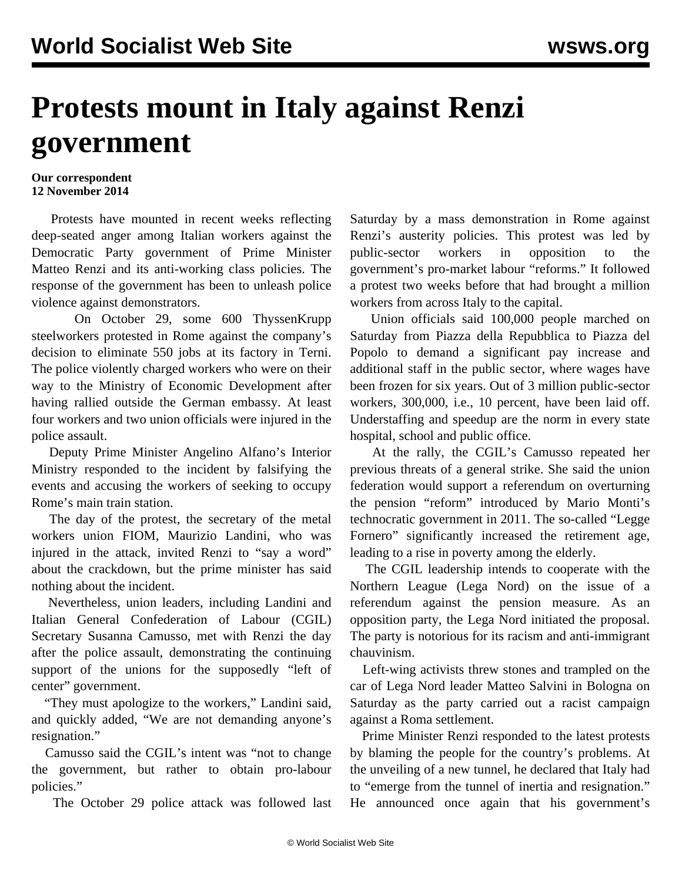## **Protests mount in Italy against Renzi government**

## **Our correspondent 12 November 2014**

 Protests have mounted in recent weeks reflecting deep-seated anger among Italian workers against the Democratic Party government of Prime Minister Matteo Renzi and its anti-working class policies. The response of the government has been to unleash police violence against demonstrators.

 On October 29, some 600 ThyssenKrupp steelworkers protested in Rome against the company's decision to eliminate 550 jobs at its factory in Terni. The [police violently charged](https://www.youtube.com/watch?v=Yaa3F9mTf-M) workers who were on their way to the Ministry of Economic Development after having rallied outside the German embassy. At least four workers and two union officials were injured in the police assault.

 Deputy Prime Minister Angelino Alfano's Interior Ministry responded to the incident by falsifying the events and accusing the workers of seeking to occupy Rome's main train station.

 The day of the protest, the secretary of the metal workers union FIOM, Maurizio Landini, who was injured in the attack, invited Renzi to "say a word" about the crackdown, but the prime minister has said nothing about the incident.

 Nevertheless, union leaders, including Landini and Italian General Confederation of Labour (CGIL) Secretary Susanna Camusso, met with Renzi the day after the police assault, demonstrating the continuing support of the unions for the supposedly "left of center" government.

 "They must apologize to the workers," Landini said, and quickly added, "We are not demanding anyone's resignation."

 Camusso said the CGIL's intent was "not to change the government, but rather to obtain pro-labour policies."

The October 29 police attack was followed last

Saturday by a mass demonstration in Rome against Renzi's austerity policies. This protest was led by public-sector workers in opposition to the government's pro-market labour "reforms." It followed a protest two weeks before that had brought a million workers from across Italy to the capital.

 Union officials said 100,000 people marched on Saturday from Piazza della Repubblica to Piazza del Popolo to demand a significant pay increase and additional staff in the public sector, where wages have been frozen for six years. Out of 3 million public-sector workers, 300,000, i.e., 10 percent, have been laid off. Understaffing and speedup are the norm in every state hospital, school and public office.

 At the rally, the CGIL's Camusso repeated her previous threats of a general strike. She said the union federation would support a referendum on overturning the pension "reform" introduced by Mario Monti's technocratic government in 2011. The so-called "Legge Fornero" significantly increased the retirement age, leading to a rise in poverty among the elderly.

 The CGIL leadership intends to cooperate with the Northern League (Lega Nord) on the issue of a referendum against the pension measure. As an opposition party, the Lega Nord initiated the proposal. The party is notorious for its racism and anti-immigrant chauvinism.

 Left-wing activists threw stones and trampled on the car of Lega Nord leader Matteo Salvini in Bologna on Saturday as the party carried out a racist campaign against a Roma settlement.

 Prime Minister Renzi responded to the latest protests by blaming the people for the country's problems. At the unveiling of a new tunnel, he declared that Italy had to "emerge from the tunnel of inertia and resignation." He announced once again that his government's